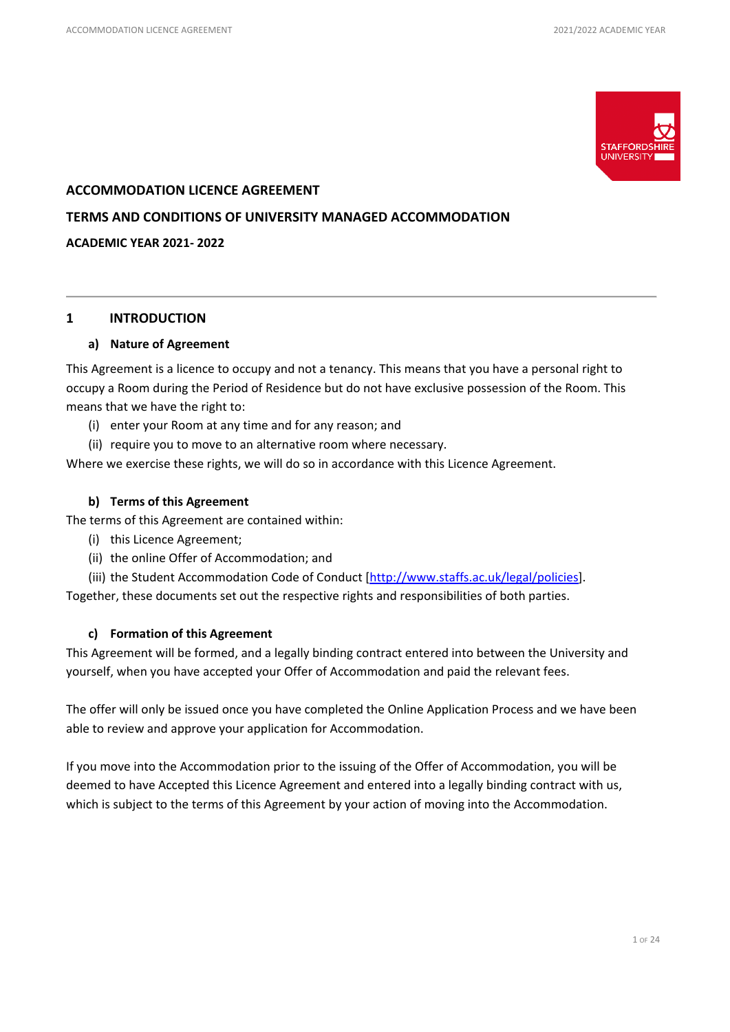

# **ACCOMMODATION LICENCE AGREEMENT**

### **TERMS AND CONDITIONS OF UNIVERSITY MANAGED ACCOMMODATION**

#### **ACADEMIC YEAR 2021- 2022**

# **1 INTRODUCTION**

### **a) Nature of Agreement**

This Agreement is a licence to occupy and not a tenancy. This means that you have a personal right to occupy a Room during the Period of Residence but do not have exclusive possession of the Room. This means that we have the right to:

- (i) enter your Room at any time and for any reason; and
- (ii) require you to move to an alternative room where necessary.

Where we exercise these rights, we will do so in accordance with this Licence Agreement.

# **b) Terms of this Agreement**

The terms of this Agreement are contained within:

- (i) this Licence Agreement;
- (ii) the online Offer of Accommodation; and

(iii) the Student Accommodation Code of Conduct [\[http://www.staffs.ac.uk/legal/policies\]](http://www.staffs.ac.uk/legal/policies).

Together, these documents set out the respective rights and responsibilities of both parties.

# **c) Formation of this Agreement**

This Agreement will be formed, and a legally binding contract entered into between the University and yourself, when you have accepted your Offer of Accommodation and paid the relevant fees.

The offer will only be issued once you have completed the Online Application Process and we have been able to review and approve your application for Accommodation.

If you move into the Accommodation prior to the issuing of the Offer of Accommodation, you will be deemed to have Accepted this Licence Agreement and entered into a legally binding contract with us, which is subject to the terms of this Agreement by your action of moving into the Accommodation.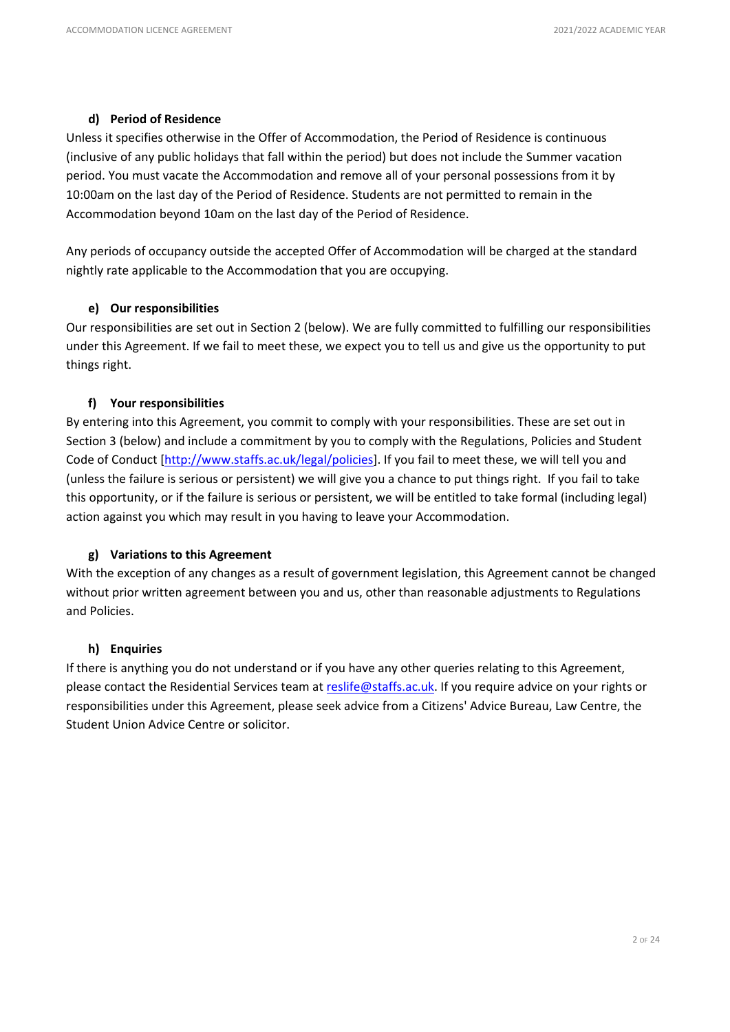# **d) Period of Residence**

Unless it specifies otherwise in the Offer of Accommodation, the Period of Residence is continuous (inclusive of any public holidays that fall within the period) but does not include the Summer vacation period. You must vacate the Accommodation and remove all of your personal possessions from it by 10:00am on the last day of the Period of Residence. Students are not permitted to remain in the Accommodation beyond 10am on the last day of the Period of Residence.

Any periods of occupancy outside the accepted Offer of Accommodation will be charged at the standard nightly rate applicable to the Accommodation that you are occupying.

# **e) Our responsibilities**

Our responsibilities are set out in Section 2 (below). We are fully committed to fulfilling our responsibilities under this Agreement. If we fail to meet these, we expect you to tell us and give us the opportunity to put things right.

# **f) Your responsibilities**

By entering into this Agreement, you commit to comply with your responsibilities. These are set out in Section 3 (below) and include a commitment by you to comply with the Regulations, Policies and Student Code of Conduct [\[http://www.staffs.ac.uk/legal/policies\]](http://www.staffs.ac.uk/legal/policies). If you fail to meet these, we will tell you and (unless the failure is serious or persistent) we will give you a chance to put things right. If you fail to take this opportunity, or if the failure is serious or persistent, we will be entitled to take formal (including legal) action against you which may result in you having to leave your Accommodation.

### **g) Variations to this Agreement**

With the exception of any changes as a result of government legislation, this Agreement cannot be changed without prior written agreement between you and us, other than reasonable adjustments to Regulations and Policies.

### **h) Enquiries**

If there is anything you do not understand or if you have any other queries relating to this Agreement, please contact the Residential Services team at [reslife@staffs.ac.uk.](mailto:reslife@staffs.ac.uk) If you require advice on your rights or responsibilities under this Agreement, please seek advice from a Citizens' Advice Bureau, Law Centre, the Student Union Advice Centre or solicitor.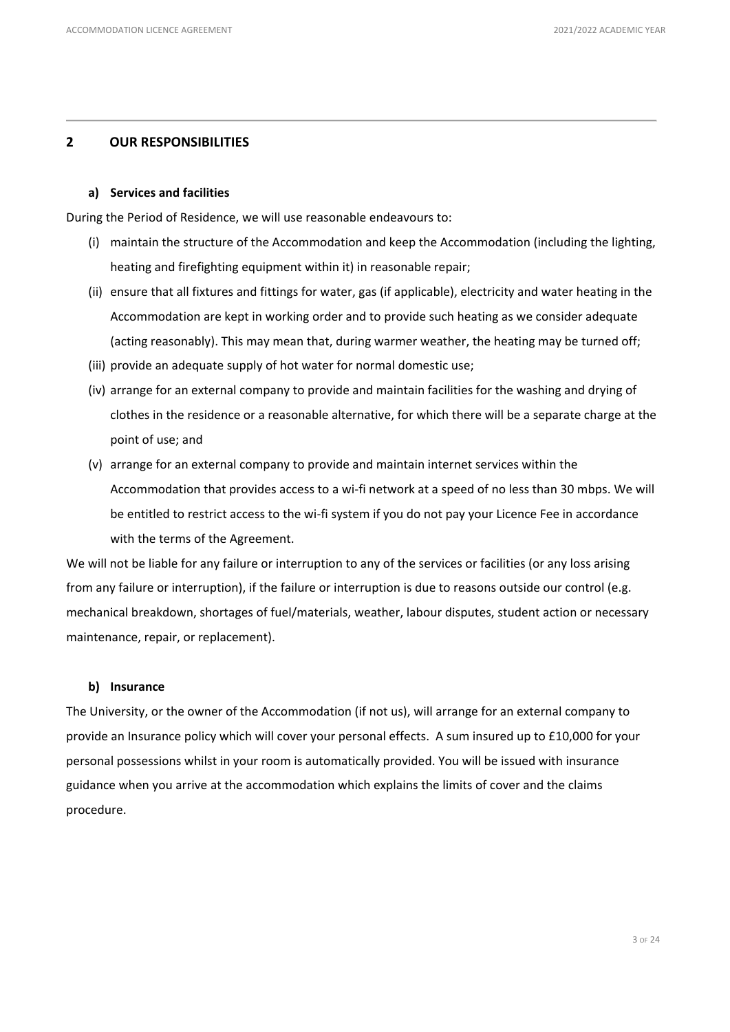# **2 OUR RESPONSIBILITIES**

#### **a) Services and facilities**

During the Period of Residence, we will use reasonable endeavours to:

- (i) maintain the structure of the Accommodation and keep the Accommodation (including the lighting, heating and firefighting equipment within it) in reasonable repair;
- (ii) ensure that all fixtures and fittings for water, gas (if applicable), electricity and water heating in the Accommodation are kept in working order and to provide such heating as we consider adequate (acting reasonably). This may mean that, during warmer weather, the heating may be turned off;
- (iii) provide an adequate supply of hot water for normal domestic use;
- (iv) arrange for an external company to provide and maintain facilities for the washing and drying of clothes in the residence or a reasonable alternative, for which there will be a separate charge at the point of use; and
- (v) arrange for an external company to provide and maintain internet services within the Accommodation that provides access to a wi-fi network at a speed of no less than 30 mbps. We will be entitled to restrict access to the wi-fi system if you do not pay your Licence Fee in accordance with the terms of the Agreement.

We will not be liable for any failure or interruption to any of the services or facilities (or any loss arising from any failure or interruption), if the failure or interruption is due to reasons outside our control (e.g. mechanical breakdown, shortages of fuel/materials, weather, labour disputes, student action or necessary maintenance, repair, or replacement).

### **b) Insurance**

The University, or the owner of the Accommodation (if not us), will arrange for an external company to provide an Insurance policy which will cover your personal effects. A sum insured up to £10,000 for your personal possessions whilst in your room is automatically provided. You will be issued with insurance guidance when you arrive at the accommodation which explains the limits of cover and the claims procedure.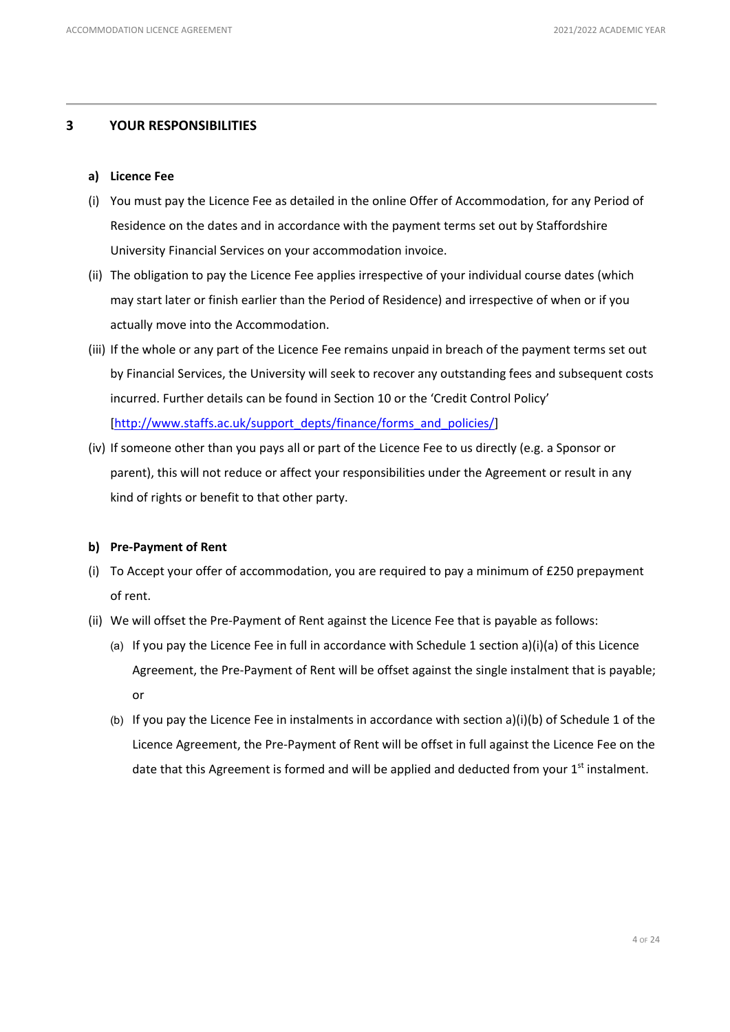# **3 YOUR RESPONSIBILITIES**

# **a) Licence Fee**

- (i) You must pay the Licence Fee as detailed in the online Offer of Accommodation, for any Period of Residence on the dates and in accordance with the payment terms set out by Staffordshire University Financial Services on your accommodation invoice.
- (ii) The obligation to pay the Licence Fee applies irrespective of your individual course dates (which may start later or finish earlier than the Period of Residence) and irrespective of when or if you actually move into the Accommodation.
- (iii) If the whole or any part of the Licence Fee remains unpaid in breach of the payment terms set out by Financial Services, the University will seek to recover any outstanding fees and subsequent costs incurred. Further details can be found in Section 10 or the 'Credit Control Policy' [\[http://www.staffs.ac.uk/support\\_depts/finance/forms\\_and\\_policies/\]](http://www.staffs.ac.uk/support_depts/finance/forms_and_policies/)
- (iv) If someone other than you pays all or part of the Licence Fee to us directly (e.g. a Sponsor or parent), this will not reduce or affect your responsibilities under the Agreement or result in any kind of rights or benefit to that other party.

### **b) Pre-Payment of Rent**

- (i) To Accept your offer of accommodation, you are required to pay a minimum of £250 prepayment of rent.
- (ii) We will offset the Pre-Payment of Rent against the Licence Fee that is payable as follows:
	- (a) If you pay the Licence Fee in full in accordance with Schedule 1 section a)(i)(a) of this Licence Agreement, the Pre-Payment of Rent will be offset against the single instalment that is payable; or
	- (b) If you pay the Licence Fee in instalments in accordance with section a)(i)(b) of Schedule 1 of the Licence Agreement, the Pre-Payment of Rent will be offset in full against the Licence Fee on the date that this Agreement is formed and will be applied and deducted from your  $1<sup>st</sup>$  instalment.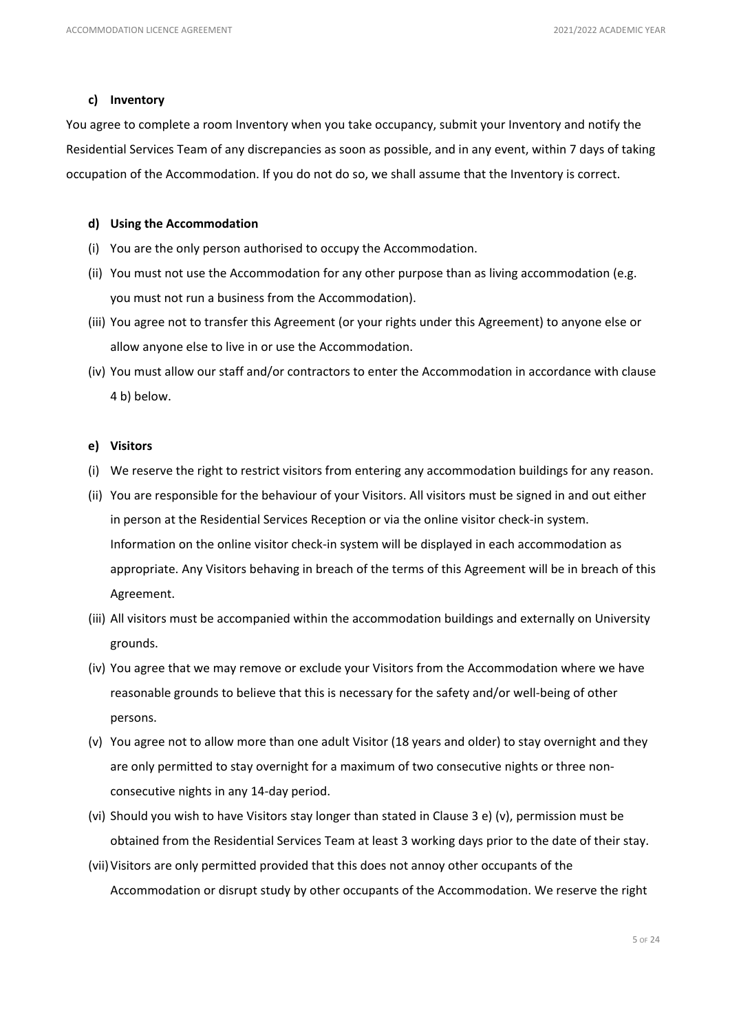### **c) Inventory**

You agree to complete a room Inventory when you take occupancy, submit your Inventory and notify the Residential Services Team of any discrepancies as soon as possible, and in any event, within 7 days of taking occupation of the Accommodation. If you do not do so, we shall assume that the Inventory is correct.

#### **d) Using the Accommodation**

- (i) You are the only person authorised to occupy the Accommodation.
- (ii) You must not use the Accommodation for any other purpose than as living accommodation (e.g. you must not run a business from the Accommodation).
- (iii) You agree not to transfer this Agreement (or your rights under this Agreement) to anyone else or allow anyone else to live in or use the Accommodation.
- (iv) You must allow our staff and/or contractors to enter the Accommodation in accordance with clause 4 b) below.

#### **e) Visitors**

- (i) We reserve the right to restrict visitors from entering any accommodation buildings for any reason.
- (ii) You are responsible for the behaviour of your Visitors. All visitors must be signed in and out either in person at the Residential Services Reception or via the online visitor check-in system. Information on the online visitor check-in system will be displayed in each accommodation as appropriate. Any Visitors behaving in breach of the terms of this Agreement will be in breach of this Agreement.
- (iii) All visitors must be accompanied within the accommodation buildings and externally on University grounds.
- (iv) You agree that we may remove or exclude your Visitors from the Accommodation where we have reasonable grounds to believe that this is necessary for the safety and/or well-being of other persons.
- (v) You agree not to allow more than one adult Visitor (18 years and older) to stay overnight and they are only permitted to stay overnight for a maximum of two consecutive nights or three nonconsecutive nights in any 14-day period.
- (vi) Should you wish to have Visitors stay longer than stated in Clause 3 e) (v), permission must be obtained from the Residential Services Team at least 3 working days prior to the date of their stay.
- (vii)Visitors are only permitted provided that this does not annoy other occupants of the Accommodation or disrupt study by other occupants of the Accommodation. We reserve the right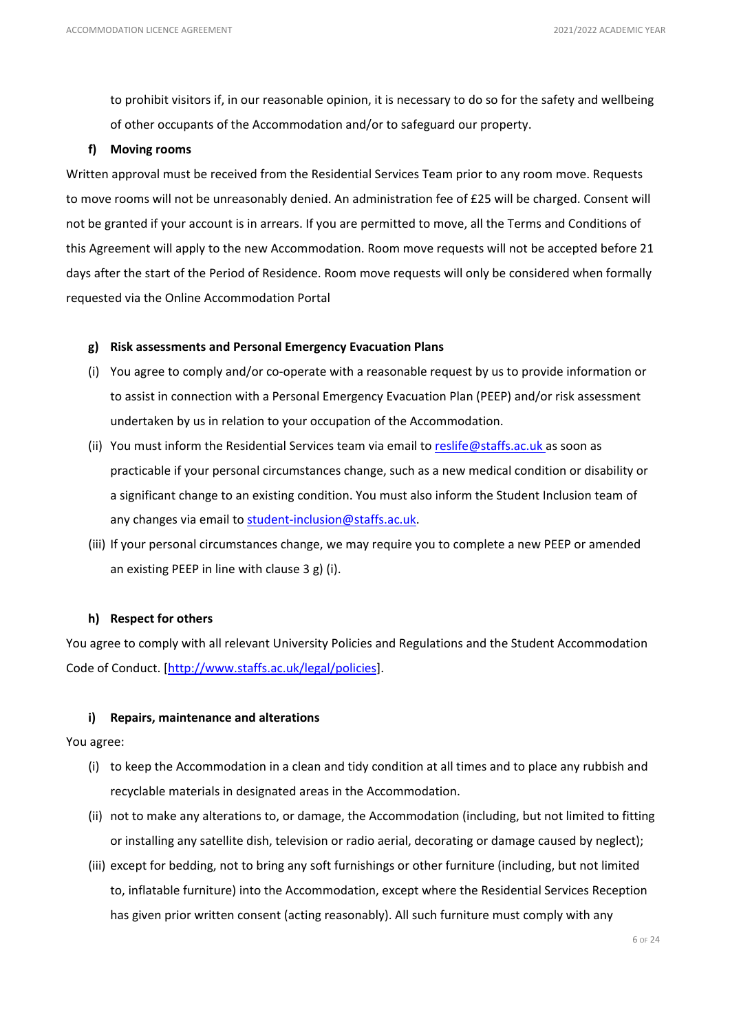to prohibit visitors if, in our reasonable opinion, it is necessary to do so for the safety and wellbeing of other occupants of the Accommodation and/or to safeguard our property.

### **f) Moving rooms**

Written approval must be received from the Residential Services Team prior to any room move. Requests to move rooms will not be unreasonably denied. An administration fee of £25 will be charged. Consent will not be granted if your account is in arrears. If you are permitted to move, all the Terms and Conditions of this Agreement will apply to the new Accommodation. Room move requests will not be accepted before 21 days after the start of the Period of Residence. Room move requests will only be considered when formally requested via the Online Accommodation Portal

### **g) Risk assessments and Personal Emergency Evacuation Plans**

- (i) You agree to comply and/or co-operate with a reasonable request by us to provide information or to assist in connection with a Personal Emergency Evacuation Plan (PEEP) and/or risk assessment undertaken by us in relation to your occupation of the Accommodation.
- (ii) You must inform the Residential Services team via email to [reslife@staffs.ac.uk](mailto:reslife@staffs.ac.uk) as soon as practicable if your personal circumstances change, such as a new medical condition or disability or a significant change to an existing condition. You must also inform the Student Inclusion team of any changes via email t[o student-inclusion@staffs.ac.uk.](mailto:student-inclusion@staffs.ac.uk)
- (iii) If your personal circumstances change, we may require you to complete a new PEEP or amended an existing PEEP in line with clause 3 g) (i).

### **h) Respect for others**

You agree to comply with all relevant University Policies and Regulations and the Student Accommodation Code of Conduct. [\[http://www.staffs.ac.uk/legal/policies\]](http://www.staffs.ac.uk/legal/policies).

# **i) Repairs, maintenance and alterations**

### You agree:

- (i) to keep the Accommodation in a clean and tidy condition at all times and to place any rubbish and recyclable materials in designated areas in the Accommodation.
- (ii) not to make any alterations to, or damage, the Accommodation (including, but not limited to fitting or installing any satellite dish, television or radio aerial, decorating or damage caused by neglect);
- (iii) except for bedding, not to bring any soft furnishings or other furniture (including, but not limited to, inflatable furniture) into the Accommodation, except where the Residential Services Reception has given prior written consent (acting reasonably). All such furniture must comply with any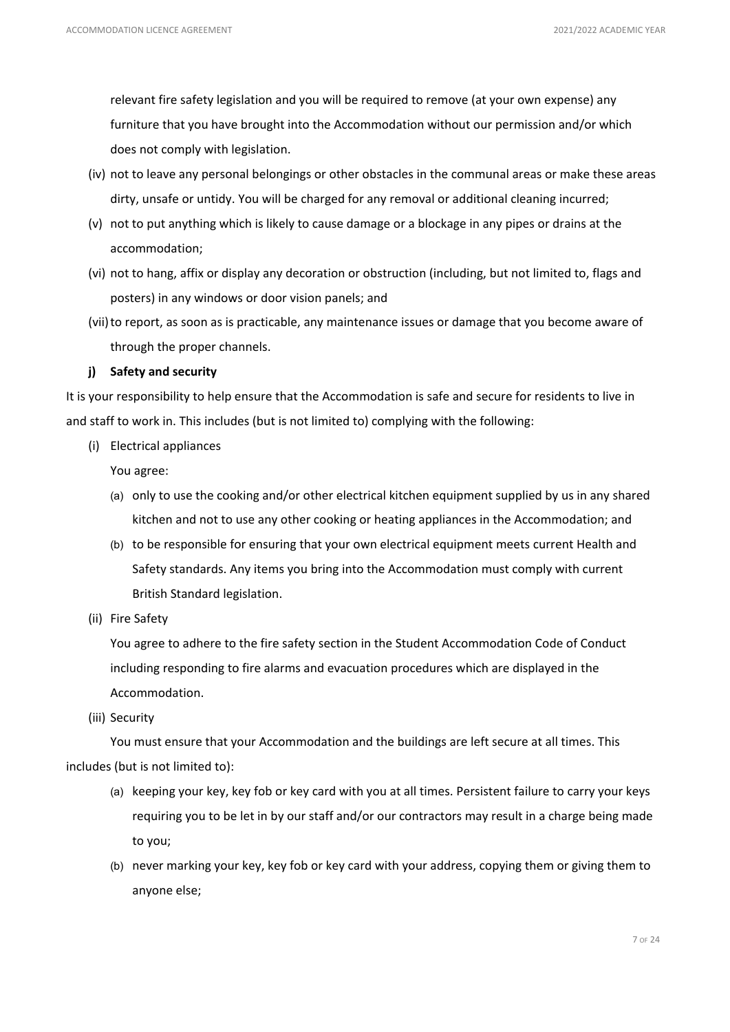relevant fire safety legislation and you will be required to remove (at your own expense) any furniture that you have brought into the Accommodation without our permission and/or which does not comply with legislation.

- (iv) not to leave any personal belongings or other obstacles in the communal areas or make these areas dirty, unsafe or untidy. You will be charged for any removal or additional cleaning incurred;
- (v) not to put anything which is likely to cause damage or a blockage in any pipes or drains at the accommodation;
- (vi) not to hang, affix or display any decoration or obstruction (including, but not limited to, flags and posters) in any windows or door vision panels; and
- (vii) to report, as soon as is practicable, any maintenance issues or damage that you become aware of through the proper channels.

# **j) Safety and security**

It is your responsibility to help ensure that the Accommodation is safe and secure for residents to live in and staff to work in. This includes (but is not limited to) complying with the following:

(i) Electrical appliances

You agree:

- (a) only to use the cooking and/or other electrical kitchen equipment supplied by us in any shared kitchen and not to use any other cooking or heating appliances in the Accommodation; and
- (b) to be responsible for ensuring that your own electrical equipment meets current Health and Safety standards. Any items you bring into the Accommodation must comply with current British Standard legislation.
- (ii) Fire Safety

You agree to adhere to the fire safety section in the Student Accommodation Code of Conduct including responding to fire alarms and evacuation procedures which are displayed in the Accommodation.

(iii) Security

You must ensure that your Accommodation and the buildings are left secure at all times. This includes (but is not limited to):

- (a) keeping your key, key fob or key card with you at all times. Persistent failure to carry your keys requiring you to be let in by our staff and/or our contractors may result in a charge being made to you;
- (b) never marking your key, key fob or key card with your address, copying them or giving them to anyone else;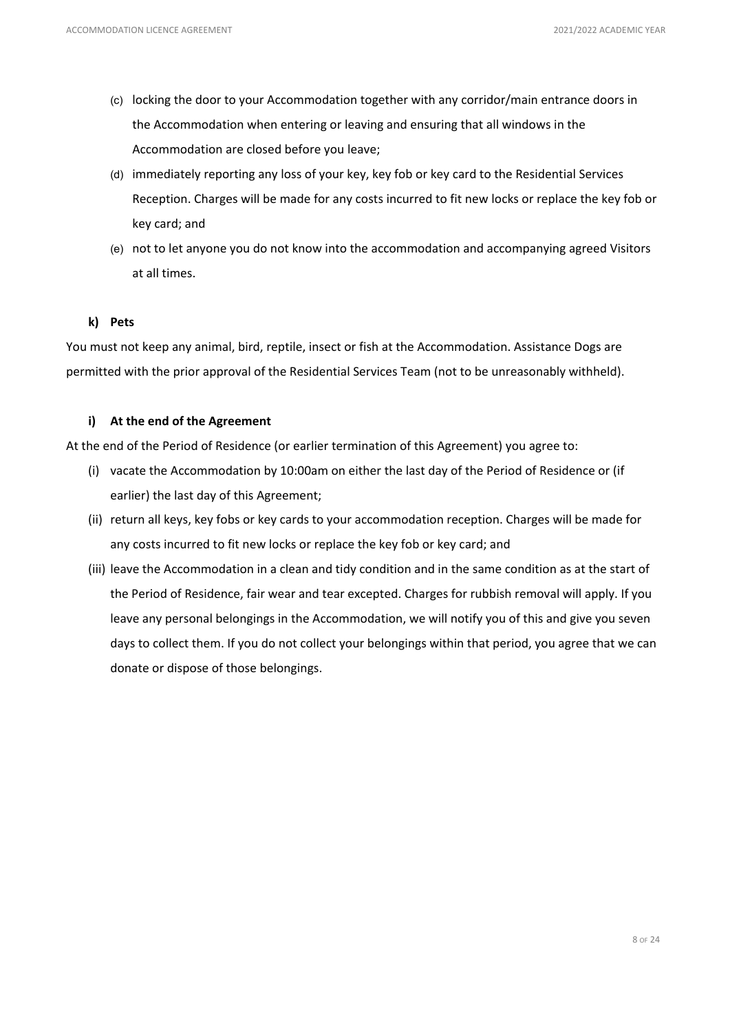- (c) locking the door to your Accommodation together with any corridor/main entrance doors in the Accommodation when entering or leaving and ensuring that all windows in the Accommodation are closed before you leave;
- (d) immediately reporting any loss of your key, key fob or key card to the Residential Services Reception. Charges will be made for any costs incurred to fit new locks or replace the key fob or key card; and
- (e) not to let anyone you do not know into the accommodation and accompanying agreed Visitors at all times.

### **k) Pets**

You must not keep any animal, bird, reptile, insect or fish at the Accommodation. Assistance Dogs are permitted with the prior approval of the Residential Services Team (not to be unreasonably withheld).

# **i) At the end of the Agreement**

At the end of the Period of Residence (or earlier termination of this Agreement) you agree to:

- (i) vacate the Accommodation by 10:00am on either the last day of the Period of Residence or (if earlier) the last day of this Agreement;
- (ii) return all keys, key fobs or key cards to your accommodation reception. Charges will be made for any costs incurred to fit new locks or replace the key fob or key card; and
- (iii) leave the Accommodation in a clean and tidy condition and in the same condition as at the start of the Period of Residence, fair wear and tear excepted. Charges for rubbish removal will apply. If you leave any personal belongings in the Accommodation, we will notify you of this and give you seven days to collect them. If you do not collect your belongings within that period, you agree that we can donate or dispose of those belongings.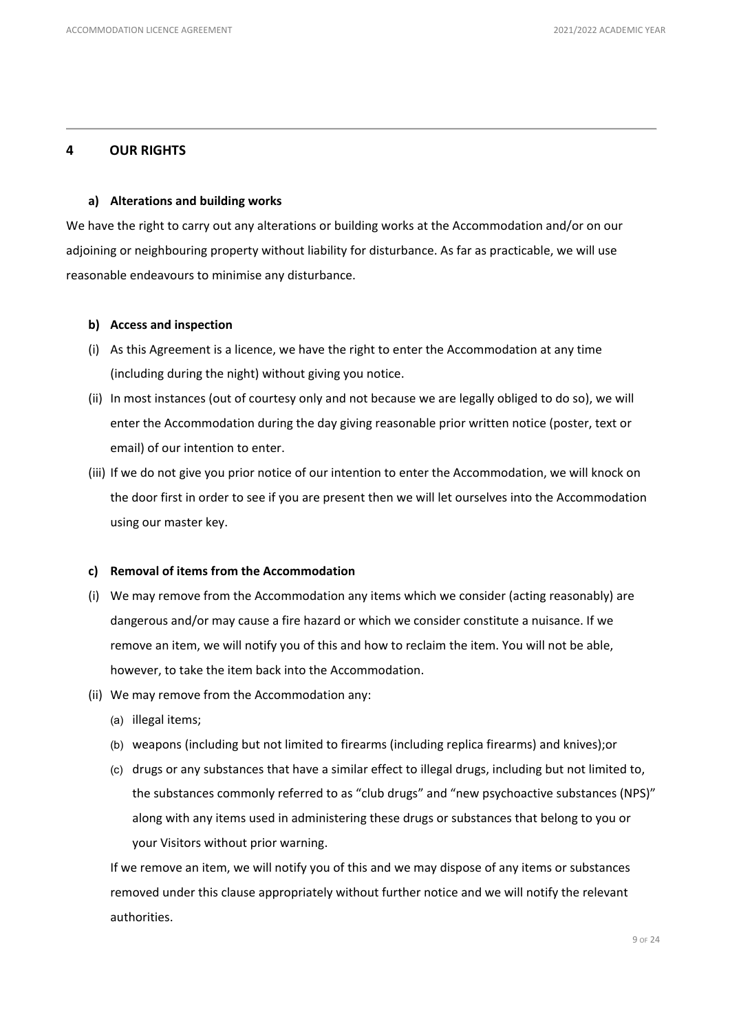# **4 OUR RIGHTS**

#### **a) Alterations and building works**

We have the right to carry out any alterations or building works at the Accommodation and/or on our adjoining or neighbouring property without liability for disturbance. As far as practicable, we will use reasonable endeavours to minimise any disturbance.

#### **b) Access and inspection**

- (i) As this Agreement is a licence, we have the right to enter the Accommodation at any time (including during the night) without giving you notice.
- (ii) In most instances (out of courtesy only and not because we are legally obliged to do so), we will enter the Accommodation during the day giving reasonable prior written notice (poster, text or email) of our intention to enter.
- (iii) If we do not give you prior notice of our intention to enter the Accommodation, we will knock on the door first in order to see if you are present then we will let ourselves into the Accommodation using our master key.

#### **c) Removal of items from the Accommodation**

- (i) We may remove from the Accommodation any items which we consider (acting reasonably) are dangerous and/or may cause a fire hazard or which we consider constitute a nuisance. If we remove an item, we will notify you of this and how to reclaim the item. You will not be able, however, to take the item back into the Accommodation.
- (ii) We may remove from the Accommodation any:
	- (a) illegal items;
	- (b) weapons (including but not limited to firearms (including replica firearms) and knives);or
	- (c) drugs or any substances that have a similar effect to illegal drugs, including but not limited to, the substances commonly referred to as "club drugs" and "new psychoactive substances (NPS)" along with any items used in administering these drugs or substances that belong to you or your Visitors without prior warning.

If we remove an item, we will notify you of this and we may dispose of any items or substances removed under this clause appropriately without further notice and we will notify the relevant authorities.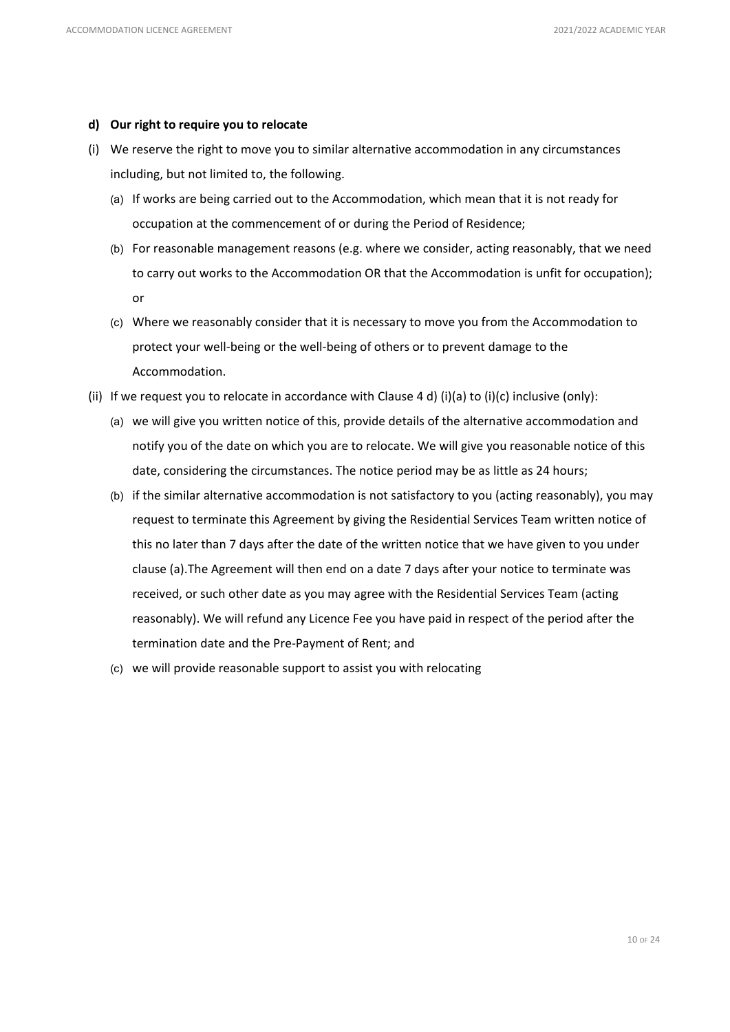### **d) Our right to require you to relocate**

- (i) We reserve the right to move you to similar alternative accommodation in any circumstances including, but not limited to, the following.
	- (a) If works are being carried out to the Accommodation, which mean that it is not ready for occupation at the commencement of or during the Period of Residence;
	- (b) For reasonable management reasons (e.g. where we consider, acting reasonably, that we need to carry out works to the Accommodation OR that the Accommodation is unfit for occupation); or
	- (c) Where we reasonably consider that it is necessary to move you from the Accommodation to protect your well-being or the well-being of others or to prevent damage to the Accommodation.
- (ii) If we request you to relocate in accordance with Clause 4 d) (i)(a) to (i)(c) inclusive (only):
	- (a) we will give you written notice of this, provide details of the alternative accommodation and notify you of the date on which you are to relocate. We will give you reasonable notice of this date, considering the circumstances. The notice period may be as little as 24 hours;
	- (b) if the similar alternative accommodation is not satisfactory to you (acting reasonably), you may request to terminate this Agreement by giving the Residential Services Team written notice of this no later than 7 days after the date of the written notice that we have given to you under clause (a).The Agreement will then end on a date 7 days after your notice to terminate was received, or such other date as you may agree with the Residential Services Team (acting reasonably). We will refund any Licence Fee you have paid in respect of the period after the termination date and the Pre-Payment of Rent; and
	- (c) we will provide reasonable support to assist you with relocating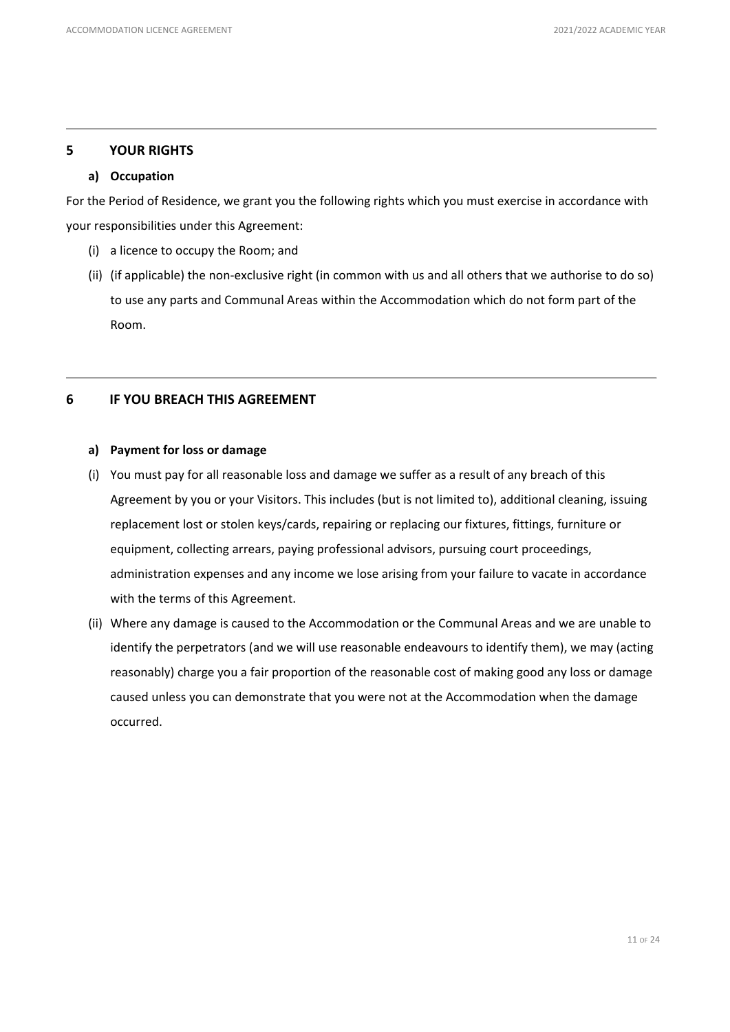# **5 YOUR RIGHTS**

### **a) Occupation**

For the Period of Residence, we grant you the following rights which you must exercise in accordance with your responsibilities under this Agreement:

- (i) a licence to occupy the Room; and
- (ii) (if applicable) the non-exclusive right (in common with us and all others that we authorise to do so) to use any parts and Communal Areas within the Accommodation which do not form part of the Room.

# **6 IF YOU BREACH THIS AGREEMENT**

### **a) Payment for loss or damage**

- (i) You must pay for all reasonable loss and damage we suffer as a result of any breach of this Agreement by you or your Visitors. This includes (but is not limited to), additional cleaning, issuing replacement lost or stolen keys/cards, repairing or replacing our fixtures, fittings, furniture or equipment, collecting arrears, paying professional advisors, pursuing court proceedings, administration expenses and any income we lose arising from your failure to vacate in accordance with the terms of this Agreement.
- (ii) Where any damage is caused to the Accommodation or the Communal Areas and we are unable to identify the perpetrators (and we will use reasonable endeavours to identify them), we may (acting reasonably) charge you a fair proportion of the reasonable cost of making good any loss or damage caused unless you can demonstrate that you were not at the Accommodation when the damage occurred.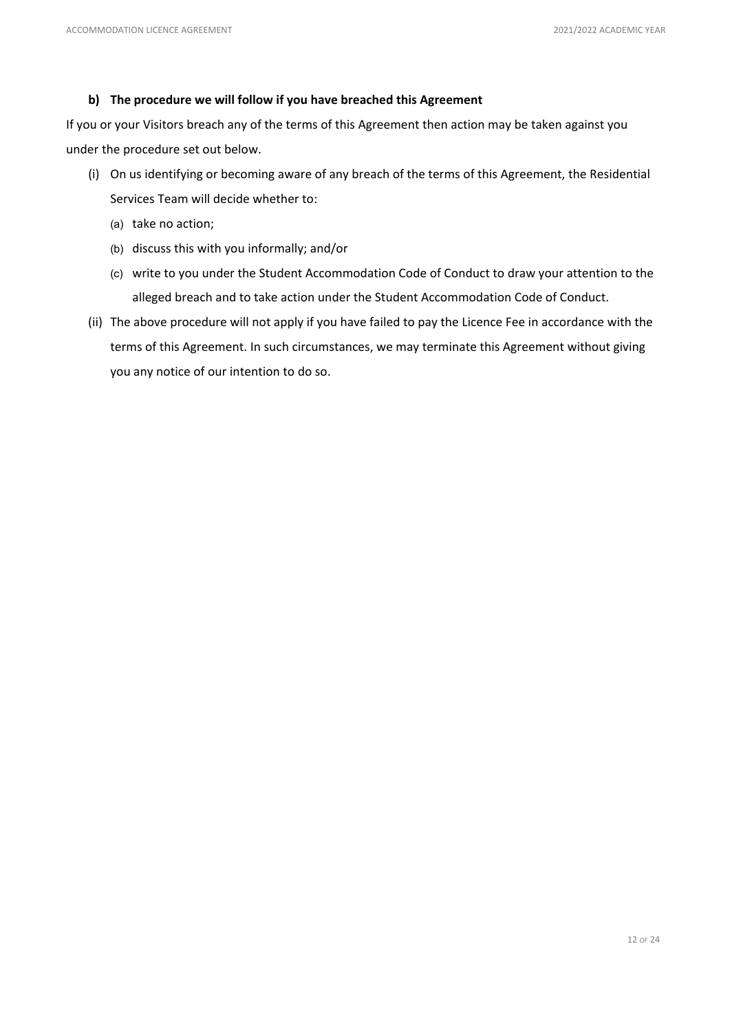# **b) The procedure we will follow if you have breached this Agreement**

If you or your Visitors breach any of the terms of this Agreement then action may be taken against you under the procedure set out below.

- (i) On us identifying or becoming aware of any breach of the terms of this Agreement, the Residential Services Team will decide whether to:
	- (a) take no action;
	- (b) discuss this with you informally; and/or
	- (c) write to you under the Student Accommodation Code of Conduct to draw your attention to the alleged breach and to take action under the Student Accommodation Code of Conduct.
- (ii) The above procedure will not apply if you have failed to pay the Licence Fee in accordance with the terms of this Agreement. In such circumstances, we may terminate this Agreement without giving you any notice of our intention to do so.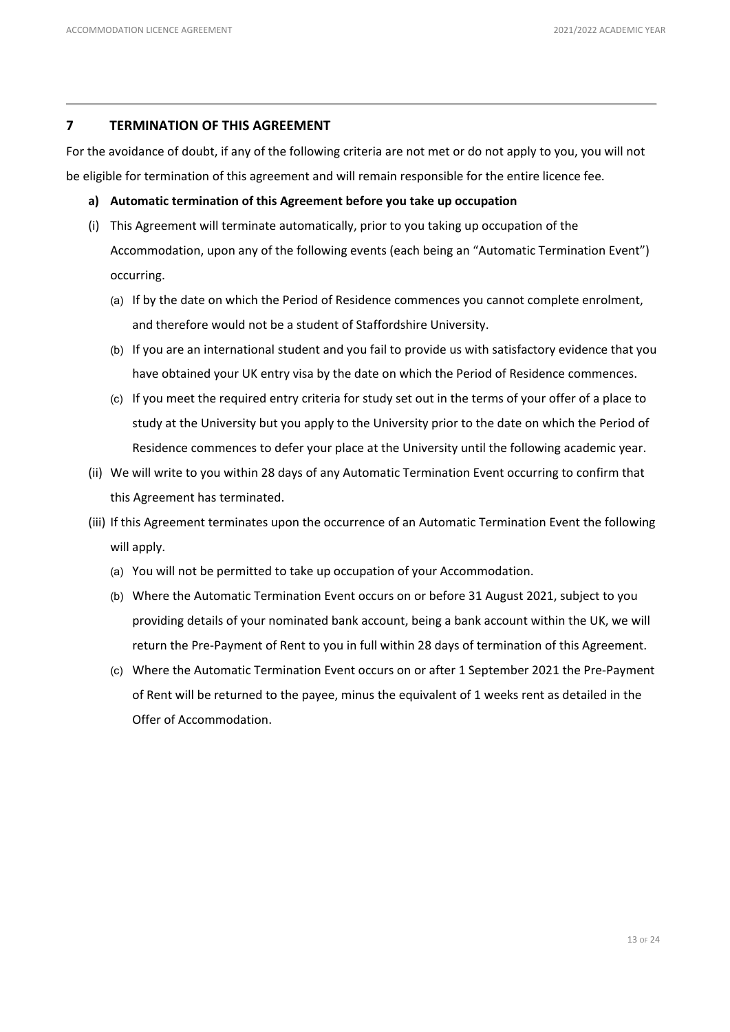# **7 TERMINATION OF THIS AGREEMENT**

For the avoidance of doubt, if any of the following criteria are not met or do not apply to you, you will not be eligible for termination of this agreement and will remain responsible for the entire licence fee.

- **a) Automatic termination of this Agreement before you take up occupation**
- (i) This Agreement will terminate automatically, prior to you taking up occupation of the Accommodation, upon any of the following events (each being an "Automatic Termination Event") occurring.
	- (a) If by the date on which the Period of Residence commences you cannot complete enrolment, and therefore would not be a student of Staffordshire University.
	- (b) If you are an international student and you fail to provide us with satisfactory evidence that you have obtained your UK entry visa by the date on which the Period of Residence commences.
	- (c) If you meet the required entry criteria for study set out in the terms of your offer of a place to study at the University but you apply to the University prior to the date on which the Period of Residence commences to defer your place at the University until the following academic year.
- (ii) We will write to you within 28 days of any Automatic Termination Event occurring to confirm that this Agreement has terminated.
- (iii) If this Agreement terminates upon the occurrence of an Automatic Termination Event the following will apply.
	- (a) You will not be permitted to take up occupation of your Accommodation.
	- (b) Where the Automatic Termination Event occurs on or before 31 August 2021, subject to you providing details of your nominated bank account, being a bank account within the UK, we will return the Pre-Payment of Rent to you in full within 28 days of termination of this Agreement.
	- (c) Where the Automatic Termination Event occurs on or after 1 September 2021 the Pre-Payment of Rent will be returned to the payee, minus the equivalent of 1 weeks rent as detailed in the Offer of Accommodation.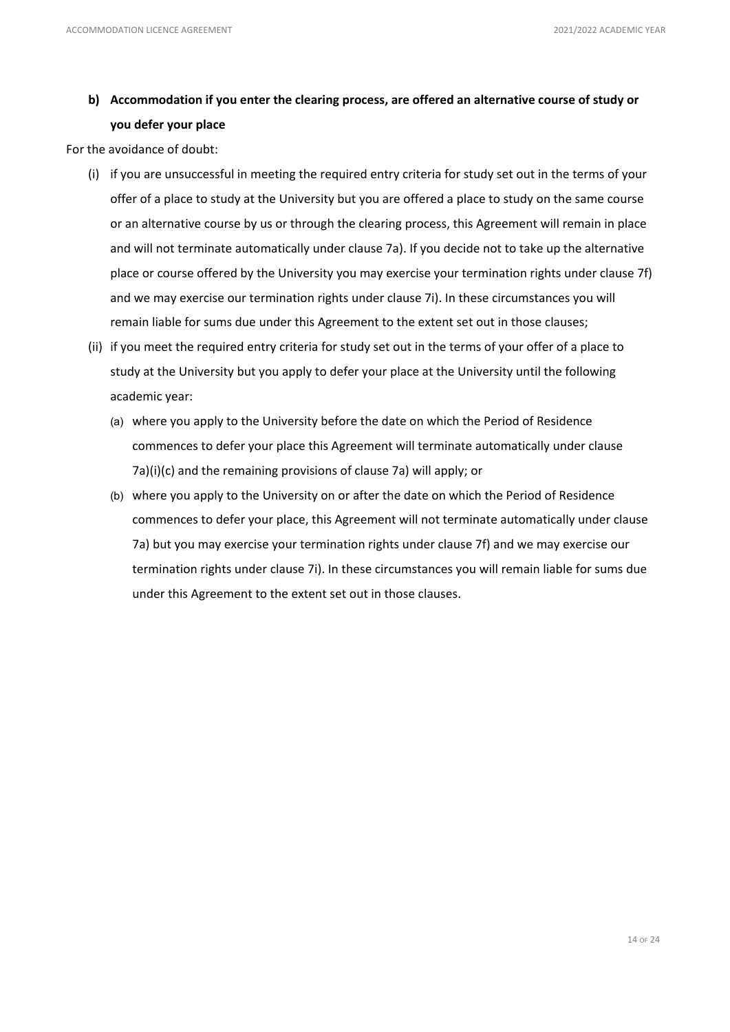# **b) Accommodation if you enter the clearing process, are offered an alternative course of study or you defer your place**

For the avoidance of doubt:

- (i) if you are unsuccessful in meeting the required entry criteria for study set out in the terms of your offer of a place to study at the University but you are offered a place to study on the same course or an alternative course by us or through the clearing process, this Agreement will remain in place and will not terminate automatically under clause 7a). If you decide not to take up the alternative place or course offered by the University you may exercise your termination rights under clause 7f) and we may exercise our termination rights under clause 7i). In these circumstances you will remain liable for sums due under this Agreement to the extent set out in those clauses;
- (ii) if you meet the required entry criteria for study set out in the terms of your offer of a place to study at the University but you apply to defer your place at the University until the following academic year:
	- (a) where you apply to the University before the date on which the Period of Residence commences to defer your place this Agreement will terminate automatically under clause 7a)(i)(c) and the remaining provisions of clause 7a) will apply; or
	- (b) where you apply to the University on or after the date on which the Period of Residence commences to defer your place, this Agreement will not terminate automatically under clause 7a) but you may exercise your termination rights under clause 7f) and we may exercise our termination rights under clause 7i). In these circumstances you will remain liable for sums due under this Agreement to the extent set out in those clauses.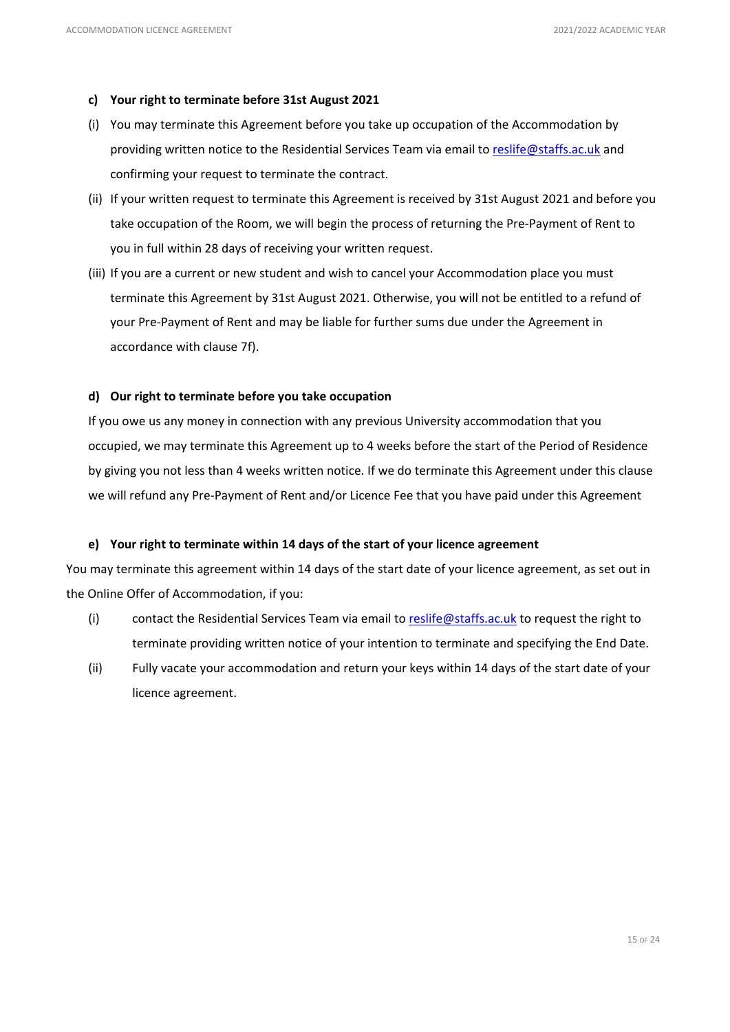# **c) Your right to terminate before 31st August 2021**

- (i) You may terminate this Agreement before you take up occupation of the Accommodation by providing written notice to the Residential Services Team via email to [reslife@staffs.ac.uk](mailto:reslife@staffs.ac.uk) and confirming your request to terminate the contract.
- (ii) If your written request to terminate this Agreement is received by 31st August 2021 and before you take occupation of the Room, we will begin the process of returning the Pre-Payment of Rent to you in full within 28 days of receiving your written request.
- (iii) If you are a current or new student and wish to cancel your Accommodation place you must terminate this Agreement by 31st August 2021. Otherwise, you will not be entitled to a refund of your Pre-Payment of Rent and may be liable for further sums due under the Agreement in accordance with clause 7f).

# **d) Our right to terminate before you take occupation**

If you owe us any money in connection with any previous University accommodation that you occupied, we may terminate this Agreement up to 4 weeks before the start of the Period of Residence by giving you not less than 4 weeks written notice. If we do terminate this Agreement under this clause we will refund any Pre-Payment of Rent and/or Licence Fee that you have paid under this Agreement

# **e) Your right to terminate within 14 days of the start of your licence agreement**

You may terminate this agreement within 14 days of the start date of your licence agreement, as set out in the Online Offer of Accommodation, if you:

- (i) contact the Residential Services Team via email t[o reslife@staffs.ac.uk](mailto:reslife@staffs.ac.uk) to request the right to terminate providing written notice of your intention to terminate and specifying the End Date.
- (ii) Fully vacate your accommodation and return your keys within 14 days of the start date of your licence agreement.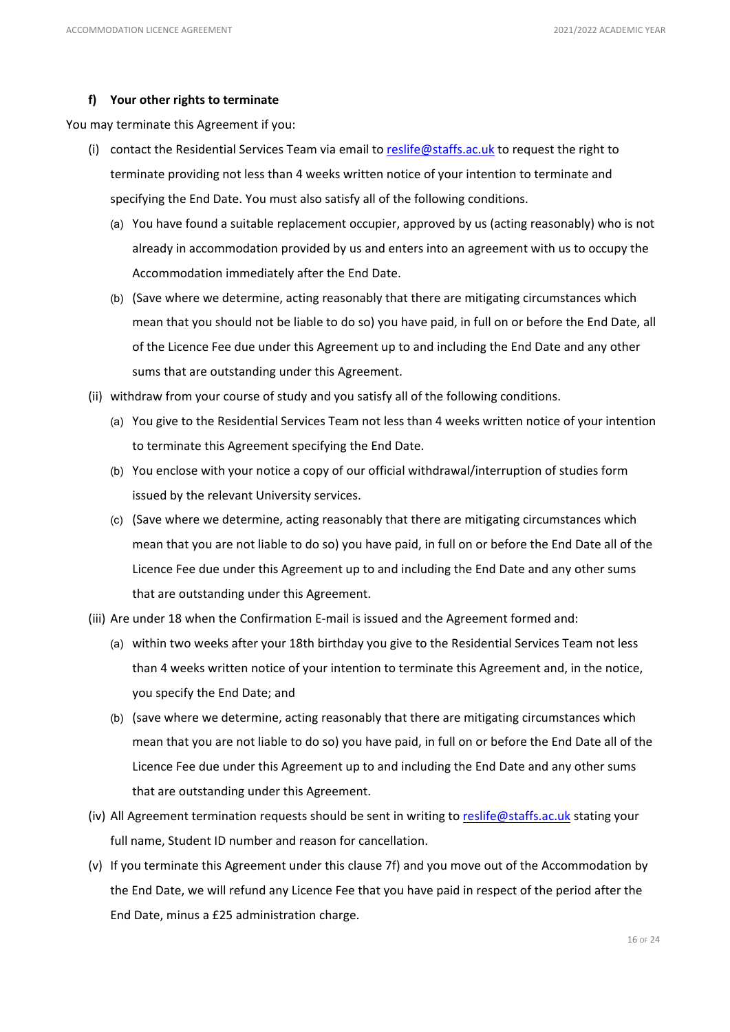# **f) Your other rights to terminate**

You may terminate this Agreement if you:

- (i) contact the Residential Services Team via email t[o reslife@staffs.ac.uk](mailto:reslife@staffs.ac.uk) to request the right to terminate providing not less than 4 weeks written notice of your intention to terminate and specifying the End Date. You must also satisfy all of the following conditions.
	- (a) You have found a suitable replacement occupier, approved by us (acting reasonably) who is not already in accommodation provided by us and enters into an agreement with us to occupy the Accommodation immediately after the End Date.
	- (b) (Save where we determine, acting reasonably that there are mitigating circumstances which mean that you should not be liable to do so) you have paid, in full on or before the End Date, all of the Licence Fee due under this Agreement up to and including the End Date and any other sums that are outstanding under this Agreement.
- (ii) withdraw from your course of study and you satisfy all of the following conditions.
	- (a) You give to the Residential Services Team not less than 4 weeks written notice of your intention to terminate this Agreement specifying the End Date.
	- (b) You enclose with your notice a copy of our official withdrawal/interruption of studies form issued by the relevant University services.
	- (c) (Save where we determine, acting reasonably that there are mitigating circumstances which mean that you are not liable to do so) you have paid, in full on or before the End Date all of the Licence Fee due under this Agreement up to and including the End Date and any other sums that are outstanding under this Agreement.
- (iii) Are under 18 when the Confirmation E-mail is issued and the Agreement formed and:
	- (a) within two weeks after your 18th birthday you give to the Residential Services Team not less than 4 weeks written notice of your intention to terminate this Agreement and, in the notice, you specify the End Date; and
	- (b) (save where we determine, acting reasonably that there are mitigating circumstances which mean that you are not liable to do so) you have paid, in full on or before the End Date all of the Licence Fee due under this Agreement up to and including the End Date and any other sums that are outstanding under this Agreement.
- (iv) All Agreement termination requests should be sent in writing t[o reslife@staffs.ac.uk](mailto:reslife@staffs.ac.uk) stating your full name, Student ID number and reason for cancellation.
- (v) If you terminate this Agreement under this clause 7f) and you move out of the Accommodation by the End Date, we will refund any Licence Fee that you have paid in respect of the period after the End Date, minus a £25 administration charge.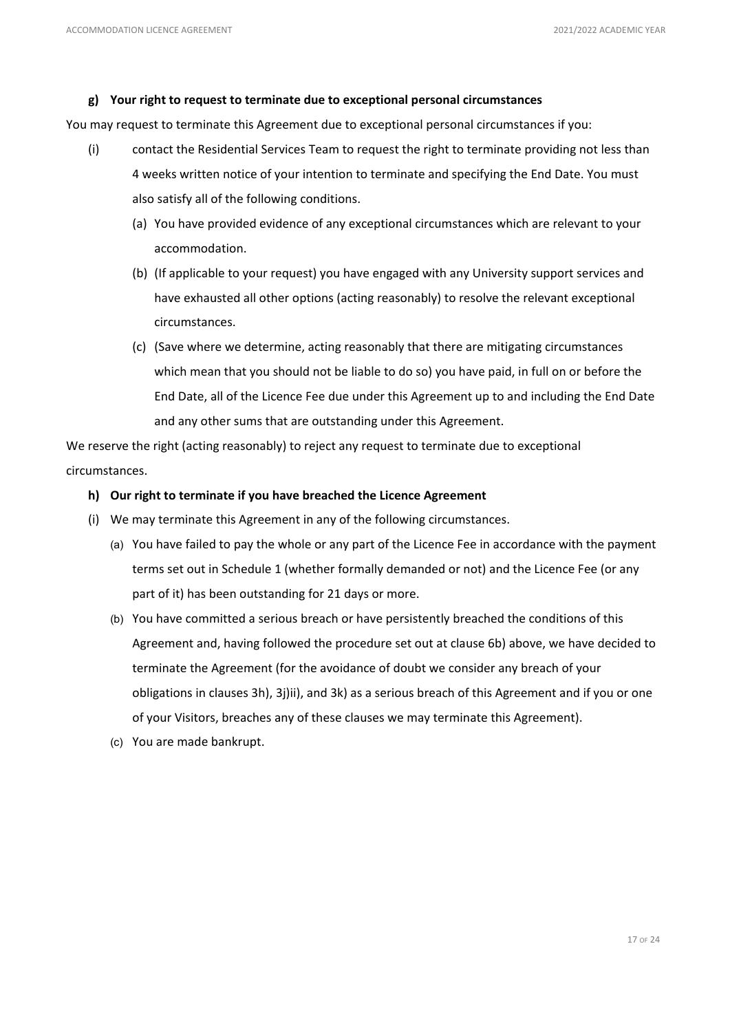# **g) Your right to request to terminate due to exceptional personal circumstances**

You may request to terminate this Agreement due to exceptional personal circumstances if you:

- (i) contact the Residential Services Team to request the right to terminate providing not less than 4 weeks written notice of your intention to terminate and specifying the End Date. You must also satisfy all of the following conditions.
	- (a) You have provided evidence of any exceptional circumstances which are relevant to your accommodation.
	- (b) (If applicable to your request) you have engaged with any University support services and have exhausted all other options (acting reasonably) to resolve the relevant exceptional circumstances.
	- (c) (Save where we determine, acting reasonably that there are mitigating circumstances which mean that you should not be liable to do so) you have paid, in full on or before the End Date, all of the Licence Fee due under this Agreement up to and including the End Date and any other sums that are outstanding under this Agreement.

We reserve the right (acting reasonably) to reject any request to terminate due to exceptional circumstances.

# **h) Our right to terminate if you have breached the Licence Agreement**

- (i) We may terminate this Agreement in any of the following circumstances.
	- (a) You have failed to pay the whole or any part of the Licence Fee in accordance with the payment terms set out in Schedule 1 (whether formally demanded or not) and the Licence Fee (or any part of it) has been outstanding for 21 days or more.
	- (b) You have committed a serious breach or have persistently breached the conditions of this Agreement and, having followed the procedure set out at clause 6b) above, we have decided to terminate the Agreement (for the avoidance of doubt we consider any breach of your obligations in clauses 3h), 3j)ii), and 3k) as a serious breach of this Agreement and if you or one of your Visitors, breaches any of these clauses we may terminate this Agreement).
	- (c) You are made bankrupt.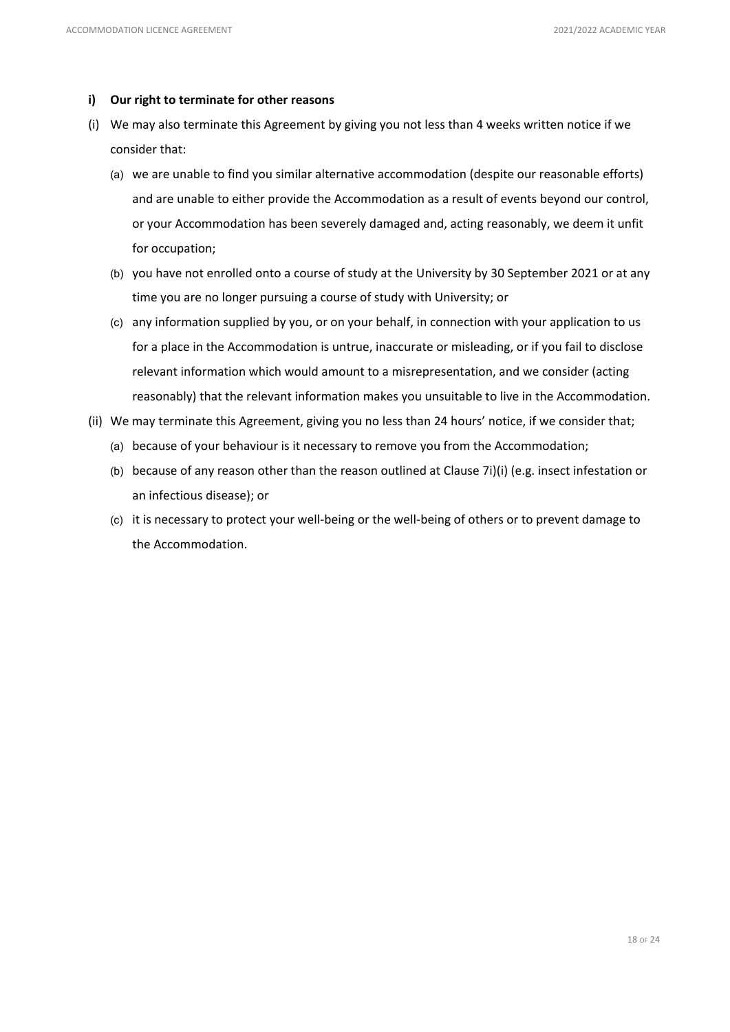### **i) Our right to terminate for other reasons**

- (i) We may also terminate this Agreement by giving you not less than 4 weeks written notice if we consider that:
	- (a) we are unable to find you similar alternative accommodation (despite our reasonable efforts) and are unable to either provide the Accommodation as a result of events beyond our control, or your Accommodation has been severely damaged and, acting reasonably, we deem it unfit for occupation;
	- (b) you have not enrolled onto a course of study at the University by 30 September 2021 or at any time you are no longer pursuing a course of study with University; or
	- (c) any information supplied by you, or on your behalf, in connection with your application to us for a place in the Accommodation is untrue, inaccurate or misleading, or if you fail to disclose relevant information which would amount to a misrepresentation, and we consider (acting reasonably) that the relevant information makes you unsuitable to live in the Accommodation.
- (ii) We may terminate this Agreement, giving you no less than 24 hours' notice, if we consider that;
	- (a) because of your behaviour is it necessary to remove you from the Accommodation;
	- (b) because of any reason other than the reason outlined at Clause 7i)(i) (e.g. insect infestation or an infectious disease); or
	- (c) it is necessary to protect your well-being or the well-being of others or to prevent damage to the Accommodation.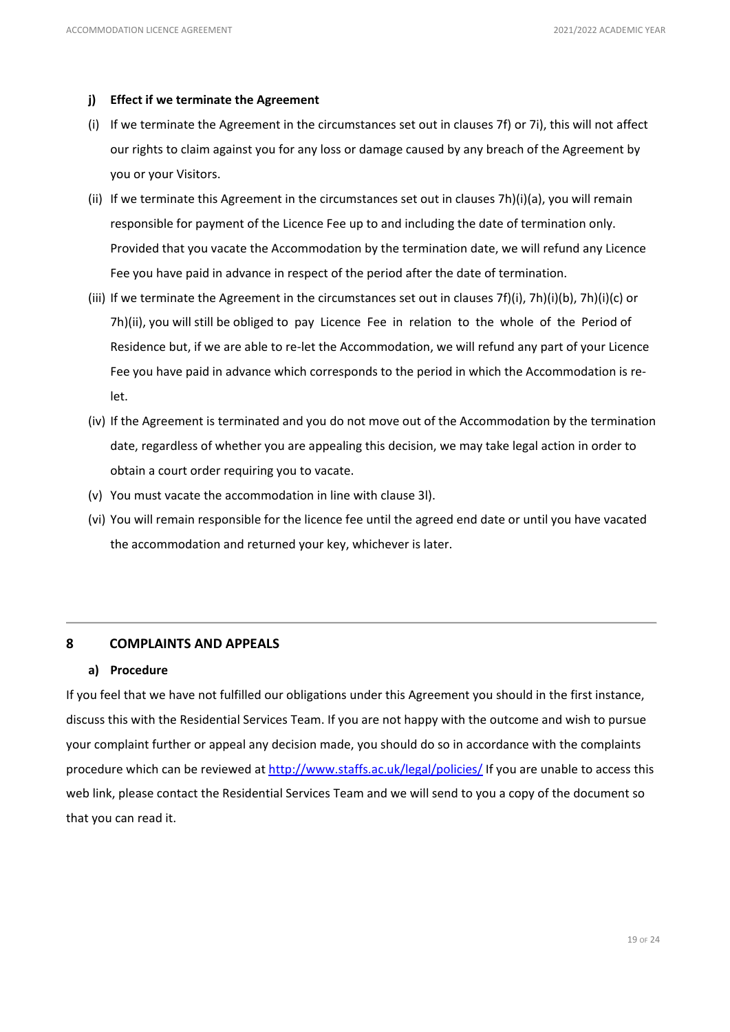### **j) Effect if we terminate the Agreement**

- (i) If we terminate the Agreement in the circumstances set out in clauses 7f) or 7i), this will not affect our rights to claim against you for any loss or damage caused by any breach of the Agreement by you or your Visitors.
- (ii) If we terminate this Agreement in the circumstances set out in clauses 7h)(i)(a), you will remain responsible for payment of the Licence Fee up to and including the date of termination only. Provided that you vacate the Accommodation by the termination date, we will refund any Licence Fee you have paid in advance in respect of the period after the date of termination.
- (iii) If we terminate the Agreement in the circumstances set out in clauses 7f)(i), 7h)(i)(b), 7h)(i)(c) or 7h)(ii), you will still be obliged to pay Licence Fee in relation to the whole of the Period of Residence but, if we are able to re-let the Accommodation, we will refund any part of your Licence Fee you have paid in advance which corresponds to the period in which the Accommodation is relet.
- (iv) If the Agreement is terminated and you do not move out of the Accommodation by the termination date, regardless of whether you are appealing this decision, we may take legal action in order to obtain a court order requiring you to vacate.
- (v) You must vacate the accommodation in line with clause 3l).
- (vi) You will remain responsible for the licence fee until the agreed end date or until you have vacated the accommodation and returned your key, whichever is later.

# **8 COMPLAINTS AND APPEALS**

### **a) Procedure**

If you feel that we have not fulfilled our obligations under this Agreement you should in the first instance, discuss this with the Residential Services Team. If you are not happy with the outcome and wish to pursue your complaint further or appeal any decision made, you should do so in accordance with the complaints procedure which can be reviewed at<http://www.staffs.ac.uk/legal/policies/> If you are unable to access this web link, please contact the Residential Services Team and we will send to you a copy of the document so that you can read it.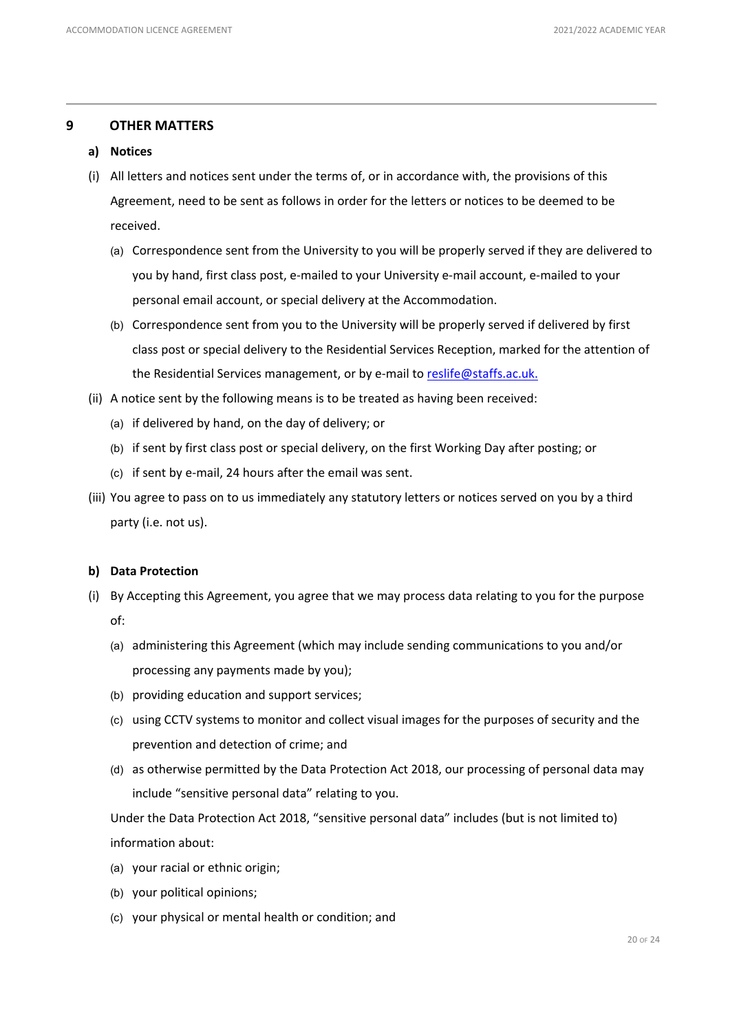# **9 OTHER MATTERS**

- **a) Notices**
- (i) All letters and notices sent under the terms of, or in accordance with, the provisions of this Agreement, need to be sent as follows in order for the letters or notices to be deemed to be received.
	- (a) Correspondence sent from the University to you will be properly served if they are delivered to you by hand, first class post, e-mailed to your University e-mail account, e-mailed to your personal email account, or special delivery at the Accommodation.
	- (b) Correspondence sent from you to the University will be properly served if delivered by first class post or special delivery to the Residential Services Reception, marked for the attention of the Residential Services management, or by e-mail to [reslife@staffs.ac.uk.](mailto:reslife@staffs.ac.uk)
- (ii) A notice sent by the following means is to be treated as having been received:
	- (a) if delivered by hand, on the day of delivery; or
	- (b) if sent by first class post or special delivery, on the first Working Day after posting; or
	- (c) if sent by e-mail, 24 hours after the email was sent.
- (iii) You agree to pass on to us immediately any statutory letters or notices served on you by a third party (i.e. not us).

### **b) Data Protection**

- (i) By Accepting this Agreement, you agree that we may process data relating to you for the purpose of:
	- (a) administering this Agreement (which may include sending communications to you and/or processing any payments made by you);
	- (b) providing education and support services;
	- (c) using CCTV systems to monitor and collect visual images for the purposes of security and the prevention and detection of crime; and
	- (d) as otherwise permitted by the Data Protection Act 2018, our processing of personal data may include "sensitive personal data" relating to you.

Under the Data Protection Act 2018, "sensitive personal data" includes (but is not limited to) information about:

- (a) your racial or ethnic origin;
- (b) your political opinions;
- (c) your physical or mental health or condition; and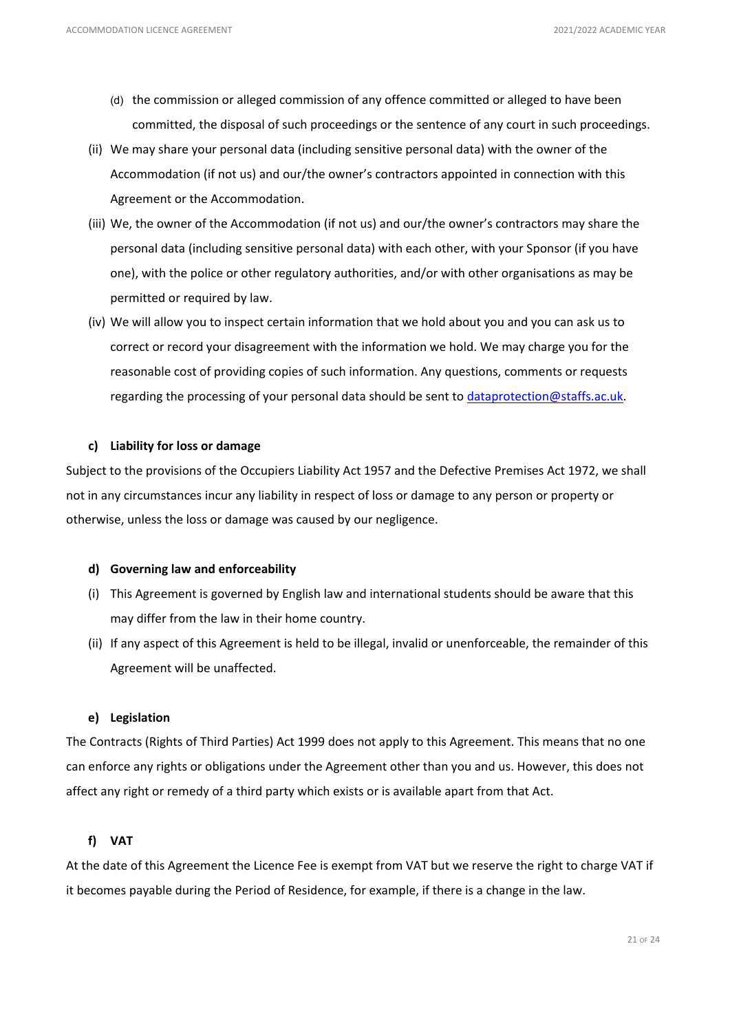- (d) the commission or alleged commission of any offence committed or alleged to have been committed, the disposal of such proceedings or the sentence of any court in such proceedings.
- (ii) We may share your personal data (including sensitive personal data) with the owner of the Accommodation (if not us) and our/the owner's contractors appointed in connection with this Agreement or the Accommodation.
- (iii) We, the owner of the Accommodation (if not us) and our/the owner's contractors may share the personal data (including sensitive personal data) with each other, with your Sponsor (if you have one), with the police or other regulatory authorities, and/or with other organisations as may be permitted or required by law.
- (iv) We will allow you to inspect certain information that we hold about you and you can ask us to correct or record your disagreement with the information we hold. We may charge you for the reasonable cost of providing copies of such information. Any questions, comments or requests regarding the processing of your personal data should be sent to [dataprotection@staffs.ac.uk.](mailto:dataprotection@staffs.ac.uk)

### **c) Liability for loss or damage**

Subject to the provisions of the Occupiers Liability Act 1957 and the Defective Premises Act 1972, we shall not in any circumstances incur any liability in respect of loss or damage to any person or property or otherwise, unless the loss or damage was caused by our negligence.

#### **d) Governing law and enforceability**

- (i) This Agreement is governed by English law and international students should be aware that this may differ from the law in their home country.
- (ii) If any aspect of this Agreement is held to be illegal, invalid or unenforceable, the remainder of this Agreement will be unaffected.

# **e) Legislation**

The Contracts (Rights of Third Parties) Act 1999 does not apply to this Agreement. This means that no one can enforce any rights or obligations under the Agreement other than you and us. However, this does not affect any right or remedy of a third party which exists or is available apart from that Act.

# **f) VAT**

At the date of this Agreement the Licence Fee is exempt from VAT but we reserve the right to charge VAT if it becomes payable during the Period of Residence, for example, if there is a change in the law.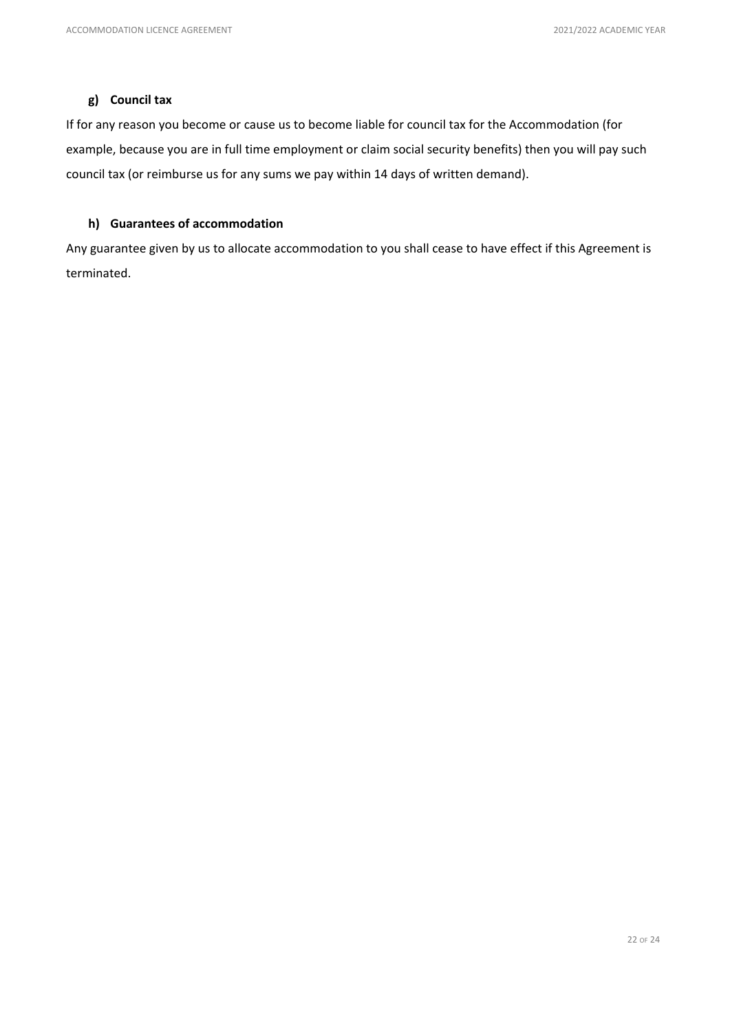# **g) Council tax**

If for any reason you become or cause us to become liable for council tax for the Accommodation (for example, because you are in full time employment or claim social security benefits) then you will pay such council tax (or reimburse us for any sums we pay within 14 days of written demand).

# **h) Guarantees of accommodation**

Any guarantee given by us to allocate accommodation to you shall cease to have effect if this Agreement is terminated.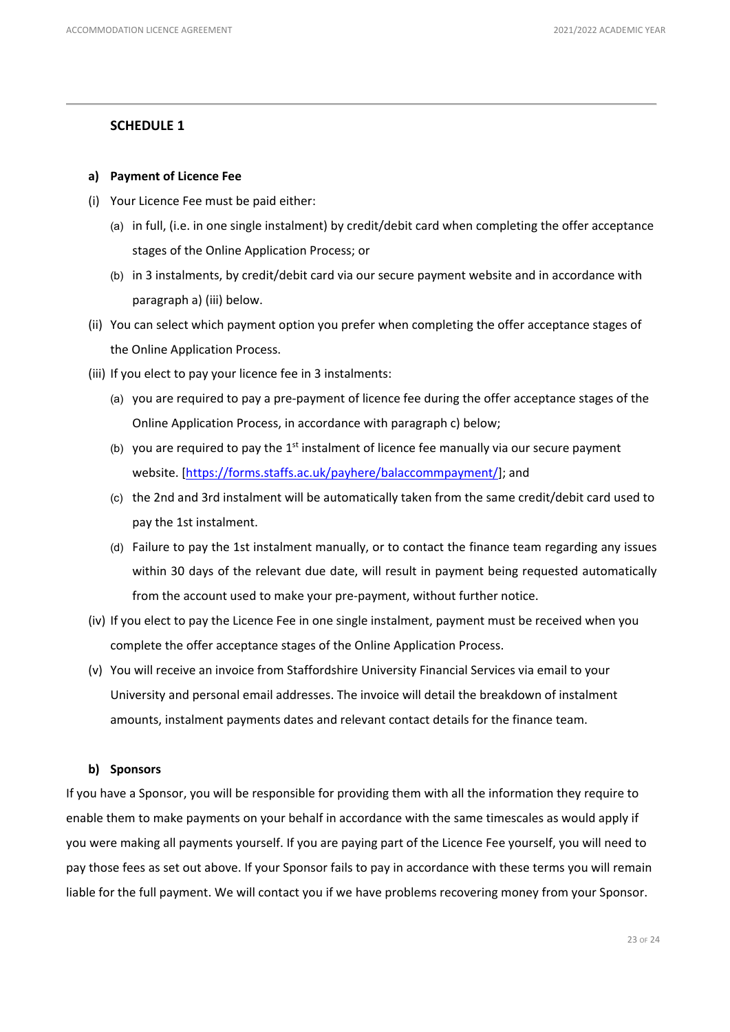# **SCHEDULE 1**

# **a) Payment of Licence Fee**

- (i) Your Licence Fee must be paid either:
	- (a) in full, (i.e. in one single instalment) by credit/debit card when completing the offer acceptance stages of the Online Application Process; or
	- (b) in 3 instalments, by credit/debit card via our secure payment website and in accordance with paragraph a) (iii) below.
- (ii) You can select which payment option you prefer when completing the offer acceptance stages of the Online Application Process.
- (iii) If you elect to pay your licence fee in 3 instalments:
	- (a) you are required to pay a pre-payment of licence fee during the offer acceptance stages of the Online Application Process, in accordance with paragraph c) below;
	- (b) you are required to pay the  $1<sup>st</sup>$  instalment of licence fee manually via our secure payment website. [\[https://forms.staffs.ac.uk/payhere/balaccommpayment/\]](https://forms.staffs.ac.uk/payhere/balaccommpayment/); and
	- (c) the 2nd and 3rd instalment will be automatically taken from the same credit/debit card used to pay the 1st instalment.
	- (d) Failure to pay the 1st instalment manually, or to contact the finance team regarding any issues within 30 days of the relevant due date, will result in payment being requested automatically from the account used to make your pre-payment, without further notice.
- (iv) If you elect to pay the Licence Fee in one single instalment, payment must be received when you complete the offer acceptance stages of the Online Application Process.
- (v) You will receive an invoice from Staffordshire University Financial Services via email to your University and personal email addresses. The invoice will detail the breakdown of instalment amounts, instalment payments dates and relevant contact details for the finance team.

### **b) Sponsors**

If you have a Sponsor, you will be responsible for providing them with all the information they require to enable them to make payments on your behalf in accordance with the same timescales as would apply if you were making all payments yourself. If you are paying part of the Licence Fee yourself, you will need to pay those fees as set out above. If your Sponsor fails to pay in accordance with these terms you will remain liable for the full payment. We will contact you if we have problems recovering money from your Sponsor.